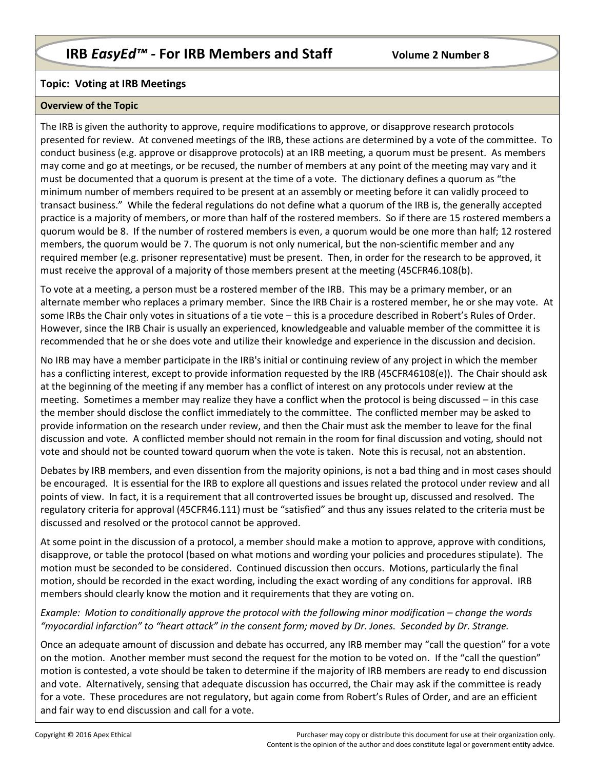## **Topic: Voting at IRB Meetings**

## **Overview of the Topic**

The IRB is given the authority to approve, require modifications to approve, or disapprove research protocols presented for review. At convened meetings of the IRB, these actions are determined by a vote of the committee. To conduct business (e.g. approve or disapprove protocols) at an IRB meeting, a quorum must be present. As members may come and go at meetings, or be recused, the number of members at any point of the meeting may vary and it must be documented that a quorum is present at the time of a vote. The dictionary defines a quorum as "the minimum number of members required to be present at an assembly or meeting before it can validly proceed to transact business." While the federal regulations do not define what a quorum of the IRB is, the generally accepted practice is a majority of members, or more than half of the rostered members. So if there are 15 rostered members a quorum would be 8. If the number of rostered members is even, a quorum would be one more than half; 12 rostered members, the quorum would be 7. The quorum is not only numerical, but the non-scientific member and any required member (e.g. prisoner representative) must be present. Then, in order for the research to be approved, it must receive the approval of a majority of those members present at the meeting (45CFR46.108(b).

To vote at a meeting, a person must be a rostered member of the IRB. This may be a primary member, or an alternate member who replaces a primary member. Since the IRB Chair is a rostered member, he or she may vote. At some IRBs the Chair only votes in situations of a tie vote – this is a procedure described in Robert's Rules of Order. However, since the IRB Chair is usually an experienced, knowledgeable and valuable member of the committee it is recommended that he or she does vote and utilize their knowledge and experience in the discussion and decision.

No IRB may have a member participate in the IRB's initial or continuing review of any project in which the member has a conflicting interest, except to provide information requested by the IRB (45CFR46108(e)). The Chair should ask at the beginning of the meeting if any member has a conflict of interest on any protocols under review at the meeting. Sometimes a member may realize they have a conflict when the protocol is being discussed – in this case the member should disclose the conflict immediately to the committee. The conflicted member may be asked to provide information on the research under review, and then the Chair must ask the member to leave for the final discussion and vote. A conflicted member should not remain in the room for final discussion and voting, should not vote and should not be counted toward quorum when the vote is taken. Note this is recusal, not an abstention.

Debates by IRB members, and even dissention from the majority opinions, is not a bad thing and in most cases should be encouraged. It is essential for the IRB to explore all questions and issues related the protocol under review and all points of view. In fact, it is a requirement that all controverted issues be brought up, discussed and resolved. The regulatory criteria for approval (45CFR46.111) must be "satisfied" and thus any issues related to the criteria must be discussed and resolved or the protocol cannot be approved.

At some point in the discussion of a protocol, a member should make a motion to approve, approve with conditions, disapprove, or table the protocol (based on what motions and wording your policies and procedures stipulate). The motion must be seconded to be considered. Continued discussion then occurs. Motions, particularly the final motion, should be recorded in the exact wording, including the exact wording of any conditions for approval. IRB members should clearly know the motion and it requirements that they are voting on.

*Example: Motion to conditionally approve the protocol with the following minor modification – change the words "myocardial infarction" to "heart attack" in the consent form; moved by Dr. Jones. Seconded by Dr. Strange.*

Once an adequate amount of discussion and debate has occurred, any IRB member may "call the question" for a vote on the motion. Another member must second the request for the motion to be voted on. If the "call the question" motion is contested, a vote should be taken to determine if the majority of IRB members are ready to end discussion and vote. Alternatively, sensing that adequate discussion has occurred, the Chair may ask if the committee is ready for a vote. These procedures are not regulatory, but again come from Robert's Rules of Order, and are an efficient and fair way to end discussion and call for a vote.